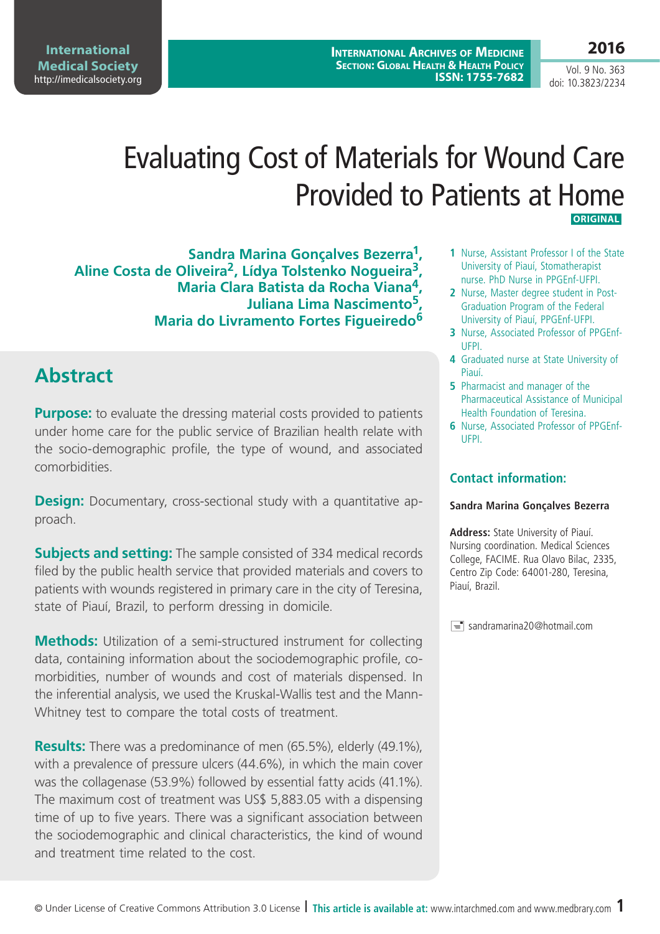Vol. 9 No. 363 doi: 10.3823/2234

**2016**

# Evaluating Cost of Materials for Wound Care Provided to Patients at Home  **ORIGINAL**

**Sandra Marina Gonçalves Bezerra1, Aline Costa de Oliveira2, Lídya Tolstenko Nogueira3, Maria Clara Batista da Rocha Viana4, Juliana Lima Nascimento5, Maria do Livramento Fortes Figueiredo<sup>6</sup>**

## **Abstract**

**Purpose:** to evaluate the dressing material costs provided to patients under home care for the public service of Brazilian health relate with the socio-demographic profile, the type of wound, and associated comorbidities.

**Design:** Documentary, cross-sectional study with a quantitative approach.

**Subjects and setting:** The sample consisted of 334 medical records filed by the public health service that provided materials and covers to patients with wounds registered in primary care in the city of Teresina, state of Piauí, Brazil, to perform dressing in domicile.

**Methods:** Utilization of a semi-structured instrument for collecting data, containing information about the sociodemographic profile, comorbidities, number of wounds and cost of materials dispensed. In the inferential analysis, we used the Kruskal-Wallis test and the Mann-Whitney test to compare the total costs of treatment.

**Results:** There was a predominance of men (65.5%), elderly (49.1%), with a prevalence of pressure ulcers (44.6%), in which the main cover was the collagenase (53.9%) followed by essential fatty acids (41.1%). The maximum cost of treatment was US\$ 5,883.05 with a dispensing time of up to five years. There was a significant association between the sociodemographic and clinical characteristics, the kind of wound and treatment time related to the cost.

- **1** Nurse, Assistant Professor I of the State University of Piauí, Stomatherapist nurse. PhD Nurse in PPGEnf-UFPI.
- **2** Nurse, Master degree student in Post-Graduation Program of the Federal University of Piauí, PPGEnf-UFPI.
- **3** Nurse, Associated Professor of PPGEnf-UFPI.
- **4** Graduated nurse at State University of Piauí.
- **5** Pharmacist and manager of the Pharmaceutical Assistance of Municipal Health Foundation of Teresina.
- **6** Nurse, Associated Professor of PPGEnf-UFPI.

### **Contact information:**

#### **Sandra Marina Gonçalves Bezerra**

**Address:** State University of Piauí. Nursing coordination. Medical Sciences College, FACIME. Rua Olavo Bilac, 2335, Centro Zip Code: 64001-280, Teresina, Piauí, Brazil.

 $\equiv$  sandramarina20@hotmail.com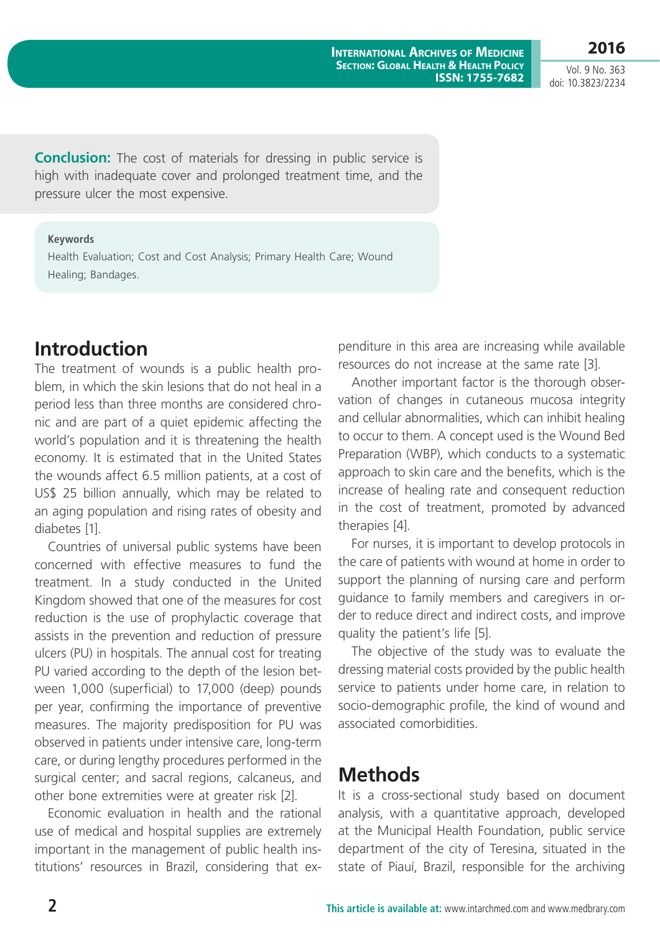**2016** Vol. 9 No. 363

doi: 10.3823/2234

**Conclusion:** The cost of materials for dressing in public service is high with inadequate cover and prolonged treatment time, and the pressure ulcer the most expensive.

#### **Keywords**

Health Evaluation; Cost and Cost Analysis; Primary Health Care; Wound Healing; Bandages.

### **Introduction**

The treatment of wounds is a public health problem, in which the skin lesions that do not heal in a period less than three months are considered chronic and are part of a quiet epidemic affecting the world's population and it is threatening the health economy. It is estimated that in the United States the wounds affect 6.5 million patients, at a cost of US\$ 25 billion annually, which may be related to an aging population and rising rates of obesity and diabetes [1].

Countries of universal public systems have been concerned with effective measures to fund the treatment. In a study conducted in the United Kingdom showed that one of the measures for cost reduction is the use of prophylactic coverage that assists in the prevention and reduction of pressure ulcers (PU) in hospitals. The annual cost for treating PU varied according to the depth of the lesion between 1,000 (superficial) to 17,000 (deep) pounds per year, confirming the importance of preventive measures. The majority predisposition for PU was observed in patients under intensive care, long-term care, or during lengthy procedures performed in the surgical center; and sacral regions, calcaneus, and other bone extremities were at greater risk [2].

Economic evaluation in health and the rational use of medical and hospital supplies are extremely important in the management of public health institutions' resources in Brazil, considering that expenditure in this area are increasing while available resources do not increase at the same rate [3].

Another important factor is the thorough observation of changes in cutaneous mucosa integrity and cellular abnormalities, which can inhibit healing to occur to them. A concept used is the Wound Bed Preparation (WBP), which conducts to a systematic approach to skin care and the benefits, which is the increase of healing rate and consequent reduction in the cost of treatment, promoted by advanced therapies [4].

For nurses, it is important to develop protocols in the care of patients with wound at home in order to support the planning of nursing care and perform guidance to family members and caregivers in order to reduce direct and indirect costs, and improve quality the patient's life [5].

The objective of the study was to evaluate the dressing material costs provided by the public health service to patients under home care, in relation to socio-demographic profile, the kind of wound and associated comorbidities.

### **Methods**

It is a cross-sectional study based on document analysis, with a quantitative approach, developed at the Municipal Health Foundation, public service department of the city of Teresina, situated in the state of Piauí, Brazil, responsible for the archiving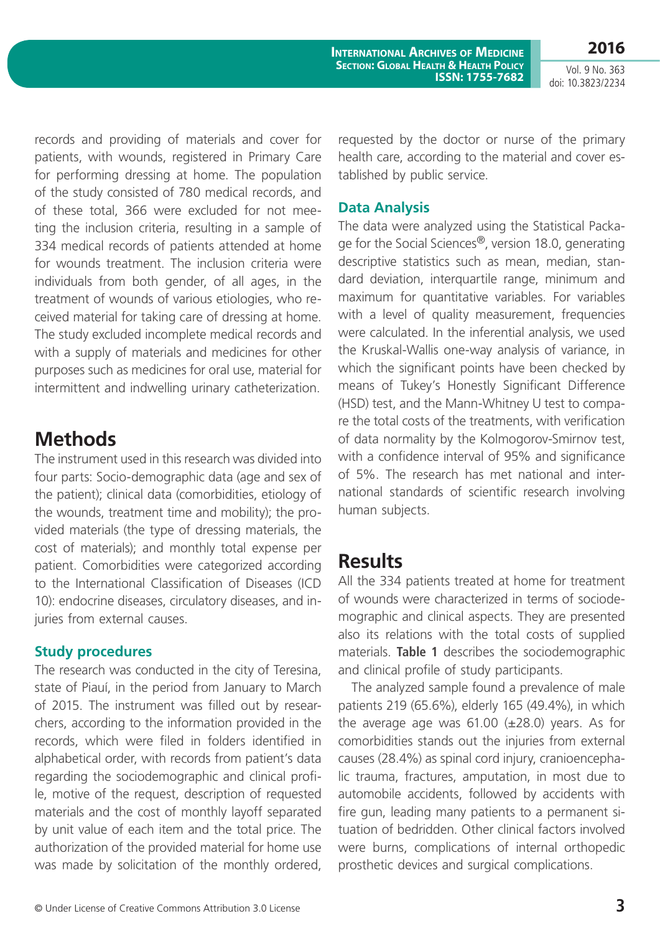**2016** Vol. 9 No. 363

doi: 10.3823/2234

records and providing of materials and cover for patients, with wounds, registered in Primary Care for performing dressing at home. The population of the study consisted of 780 medical records, and of these total, 366 were excluded for not meeting the inclusion criteria, resulting in a sample of 334 medical records of patients attended at home for wounds treatment. The inclusion criteria were individuals from both gender, of all ages, in the treatment of wounds of various etiologies, who received material for taking care of dressing at home. The study excluded incomplete medical records and with a supply of materials and medicines for other purposes such as medicines for oral use, material for intermittent and indwelling urinary catheterization.

## **Methods**

The instrument used in this research was divided into four parts: Socio-demographic data (age and sex of the patient); clinical data (comorbidities, etiology of the wounds, treatment time and mobility); the provided materials (the type of dressing materials, the cost of materials); and monthly total expense per patient. Comorbidities were categorized according to the International Classification of Diseases (ICD 10): endocrine diseases, circulatory diseases, and injuries from external causes.

### **Study procedures**

The research was conducted in the city of Teresina, state of Piauí, in the period from January to March of 2015. The instrument was filled out by researchers, according to the information provided in the records, which were filed in folders identified in alphabetical order, with records from patient's data regarding the sociodemographic and clinical profile, motive of the request, description of requested materials and the cost of monthly layoff separated by unit value of each item and the total price. The authorization of the provided material for home use was made by solicitation of the monthly ordered, requested by the doctor or nurse of the primary health care, according to the material and cover established by public service.

### **Data Analysis**

The data were analyzed using the Statistical Package for the Social Sciences®, version 18.0, generating descriptive statistics such as mean, median, standard deviation, interquartile range, minimum and maximum for quantitative variables. For variables with a level of quality measurement, frequencies were calculated. In the inferential analysis, we used the Kruskal-Wallis one-way analysis of variance, in which the significant points have been checked by means of Tukey's Honestly Significant Difference (HSD) test, and the Mann-Whitney U test to compare the total costs of the treatments, with verification of data normality by the Kolmogorov-Smirnov test. with a confidence interval of 95% and significance of 5%. The research has met national and international standards of scientific research involving human subjects.

### **Results**

All the 334 patients treated at home for treatment of wounds were characterized in terms of sociodemographic and clinical aspects. They are presented also its relations with the total costs of supplied materials. **Table 1** describes the sociodemographic and clinical profile of study participants.

The analyzed sample found a prevalence of male patients 219 (65.6%), elderly 165 (49.4%), in which the average age was  $61.00$  ( $\pm 28.0$ ) years. As for comorbidities stands out the injuries from external causes (28.4%) as spinal cord injury, cranioencephalic trauma, fractures, amputation, in most due to automobile accidents, followed by accidents with fire gun, leading many patients to a permanent situation of bedridden. Other clinical factors involved were burns, complications of internal orthopedic prosthetic devices and surgical complications.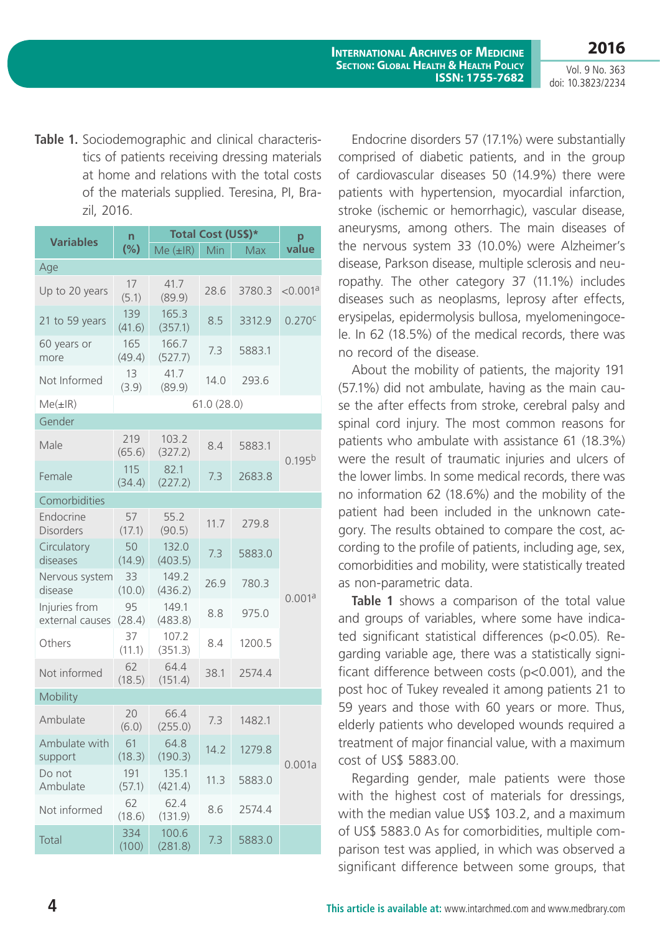**2016**

Vol. 9 No. 363 doi: 10.3823/2234

**Table 1.** Sociodemographic and clinical characteristics of patients receiving dressing materials at home and relations with the total costs of the materials supplied. Teresina, PI, Brazil, 2016.

| <b>Variables</b>                 | n<br>$(\%)$   | Total Cost (US\$)*     | p    |        |                      |  |  |  |
|----------------------------------|---------------|------------------------|------|--------|----------------------|--|--|--|
|                                  |               | $Me$ $(\pm$ IR)        | Min  | Max    | value                |  |  |  |
| Age                              |               |                        |      |        |                      |  |  |  |
| Up to 20 years                   | 17<br>(5.1)   | 41.7<br>(89.9)         | 28.6 | 3780.3 | < 0.001 <sup>a</sup> |  |  |  |
| 21 to 59 years                   | 139<br>(41.6) | 165.3<br>(357.1)       | 8.5  | 3312.9 | 0.270 <sup>c</sup>   |  |  |  |
| 60 years or<br>more              | 165<br>(49.4) | 166.7<br>(527.7)       | 7.3  | 5883.1 |                      |  |  |  |
| Not Informed                     | 13<br>(3.9)   | 41.7<br>14.0<br>(89.9) |      | 293.6  |                      |  |  |  |
| $Me(\pm IR)$                     | 61.0(28.0)    |                        |      |        |                      |  |  |  |
| Gender                           |               |                        |      |        |                      |  |  |  |
| Male                             | 219<br>(65.6) | 103.2<br>(327.2)       | 8.4  | 5883.1 | 0.195 <sup>b</sup>   |  |  |  |
| Female                           | 115<br>(34.4) | 82.1<br>(227.2)        | 7.3  | 2683.8 |                      |  |  |  |
| Comorbidities                    |               |                        |      |        |                      |  |  |  |
| Endocrine<br><b>Disorders</b>    | 57<br>(17.1)  | 55.2<br>(90.5)         | 11.7 | 279.8  |                      |  |  |  |
| Circulatory<br>diseases          | 50<br>(14.9)  | 132.0<br>(403.5)       | 7.3  | 5883.0 |                      |  |  |  |
| Nervous system<br>disease        | 33<br>(10.0)  | 149.2<br>(436.2)       | 26.9 | 780.3  |                      |  |  |  |
| Injuries from<br>external causes | 95<br>(28.4)  | 149.1<br>(483.8)       | 8.8  | 975.0  | 0.001a               |  |  |  |
| Others                           | 37<br>(11.1)  | 107.2<br>(351.3)       | 8.4  | 1200.5 |                      |  |  |  |
| Not informed                     | 62<br>(18.5)  | 64.4<br>(151.4)        | 38.1 | 2574.4 |                      |  |  |  |
| Mobility                         |               |                        |      |        |                      |  |  |  |
| Ambulate                         | 20<br>(6.0)   | 66.4<br>(255.0)        | 7.3  | 1482.1 |                      |  |  |  |
| Ambulate with<br>support         | 61<br>(18.3)  | 64.8<br>(190.3)        | 14.2 | 1279.8 |                      |  |  |  |
| Do not<br>Ambulate               | 191<br>(57.1) | 135.1<br>(421.4)       | 11.3 | 5883.0 | 0.001a               |  |  |  |
| Not informed                     | 62<br>(18.6)  | 62.4<br>(131.9)        | 8.6  | 2574.4 |                      |  |  |  |
| Total                            | 334<br>(100)  | 100.6<br>(281.8)       | 7.3  | 5883.0 |                      |  |  |  |

Endocrine disorders 57 (17.1%) were substantially comprised of diabetic patients, and in the group of cardiovascular diseases 50 (14.9%) there were patients with hypertension, myocardial infarction, stroke (ischemic or hemorrhagic), vascular disease, aneurysms, among others. The main diseases of the nervous system 33 (10.0%) were Alzheimer's disease, Parkson disease, multiple sclerosis and neuropathy. The other category 37 (11.1%) includes diseases such as neoplasms, leprosy after effects, erysipelas, epidermolysis bullosa, myelomeningocele. In 62 (18.5%) of the medical records, there was no record of the disease.

About the mobility of patients, the majority 191 (57.1%) did not ambulate, having as the main cause the after effects from stroke, cerebral palsy and spinal cord injury. The most common reasons for patients who ambulate with assistance 61 (18.3%) were the result of traumatic injuries and ulcers of the lower limbs. In some medical records, there was no information 62 (18.6%) and the mobility of the patient had been included in the unknown category. The results obtained to compare the cost, according to the profile of patients, including age, sex, comorbidities and mobility, were statistically treated as non-parametric data.

**Table 1** shows a comparison of the total value and groups of variables, where some have indicated significant statistical differences (p<0.05). Regarding variable age, there was a statistically significant difference between costs (p<0.001), and the post hoc of Tukey revealed it among patients 21 to 59 years and those with 60 years or more. Thus, elderly patients who developed wounds required a treatment of major financial value, with a maximum cost of US\$ 5883.00.

Regarding gender, male patients were those with the highest cost of materials for dressings, with the median value US\$ 103.2, and a maximum of US\$ 5883.0 As for comorbidities, multiple comparison test was applied, in which was observed a significant difference between some groups, that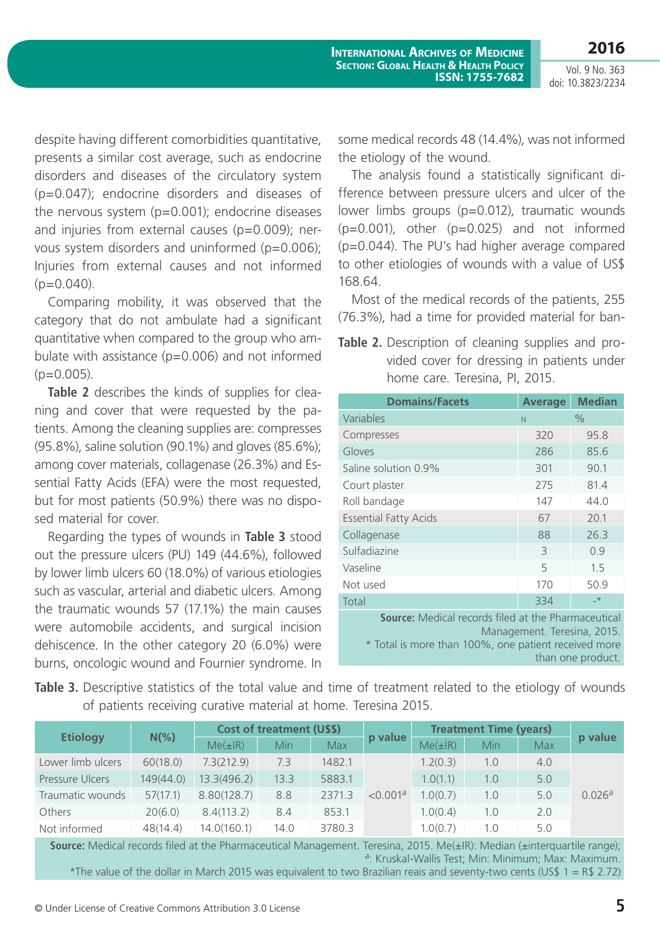Vol. 9 No. 363 doi: 10.3823/2234

**2016**

despite having different comorbidities quantitative, presents a similar cost average, such as endocrine disorders and diseases of the circulatory system (p=0.047); endocrine disorders and diseases of the nervous system (p=0.001); endocrine diseases and injuries from external causes (p=0.009); nervous system disorders and uninformed (p=0.006); Injuries from external causes and not informed  $(p=0.040)$ .

Comparing mobility, it was observed that the category that do not ambulate had a significant quantitative when compared to the group who ambulate with assistance  $(p=0.006)$  and not informed  $(p=0.005)$ .

**Table 2** describes the kinds of supplies for cleaning and cover that were requested by the patients. Among the cleaning supplies are: compresses (95.8%), saline solution (90.1%) and gloves (85.6%); among cover materials, collagenase (26.3%) and Essential Fatty Acids (EFA) were the most requested, but for most patients (50.9%) there was no disposed material for cover.

Regarding the types of wounds in **Table 3** stood out the pressure ulcers (PU) 149 (44.6%), followed by lower limb ulcers 60 (18.0%) of various etiologies such as vascular, arterial and diabetic ulcers. Among the traumatic wounds 57 (17.1%) the main causes were automobile accidents, and surgical incision dehiscence. In the other category 20 (6.0%) were burns, oncologic wound and Fournier syndrome. In some medical records 48 (14.4%), was not informed the etiology of the wound.

The analysis found a statistically significant difference between pressure ulcers and ulcer of the lower limbs groups (p=0.012), traumatic wounds  $(p=0.001)$ , other  $(p=0.025)$  and not informed (p=0.044). The PU's had higher average compared to other etiologies of wounds with a value of US\$ 168.64.

Most of the medical records of the patients, 255 (76.3%), had a time for provided material for ban-

**Table 2.** Description of cleaning supplies and provided cover for dressing in patients under home care. Teresina, PI, 2015.

| <b>Domains/Facets</b>                                      | <b>Average</b> | <b>Median</b> |  |  |  |
|------------------------------------------------------------|----------------|---------------|--|--|--|
| Variables                                                  | N              | $\frac{0}{0}$ |  |  |  |
| Compresses                                                 | 320            | 95.8          |  |  |  |
| Gloves                                                     | 286            | 85.6          |  |  |  |
| Saline solution 0.9%                                       | 301            | 90.1          |  |  |  |
| Court plaster                                              | 275            | 81.4          |  |  |  |
| Roll bandage                                               | 147            | 44.0          |  |  |  |
| <b>Essential Fatty Acids</b>                               | 67             | 20.1          |  |  |  |
| Collagenase                                                | 88             | 26.3          |  |  |  |
| Sulfadiazine                                               | $\mathcal{E}$  | 0.9           |  |  |  |
| Vaseline                                                   | 5              | 1.5           |  |  |  |
| Not used                                                   | 170            | 50.9          |  |  |  |
| Total                                                      | 334            | $\rightarrow$ |  |  |  |
| <b>Source:</b> Medical records filed at the Pharmaceutical |                |               |  |  |  |

Management. Teresina, 2015.

\* Total is more than 100%, one patient received more than one product.

Table 3. Descriptive statistics of the total value and time of treatment related to the etiology of wounds of patients receiving curative material at home. Teresina 2015.

| <b>Etiology</b>                                                                                                    | $N(\%)$   | <b>Cost of treatment (U\$\$)</b> |      |            |                      | <b>Treatment Time (years)</b> |     |     |         |
|--------------------------------------------------------------------------------------------------------------------|-----------|----------------------------------|------|------------|----------------------|-------------------------------|-----|-----|---------|
|                                                                                                                    |           | $Me(\pm IR)$                     | Min  | <b>Max</b> | p value              | $Me(\pm IR)$                  | Min | Max | p value |
| Lower limb ulcers                                                                                                  | 60(18.0)  | 7.3(212.9)                       | 7.3  | 1482.1     | < 0.001 <sup>a</sup> | 1.2(0.3)                      | 1.0 | 4.0 | 0.026a  |
| Pressure Ulcers                                                                                                    | 149(44.0) | 13.3(496.2)                      | 13.3 | 5883.1     |                      | 1.0(1.1)                      | 1.0 | 5.0 |         |
| Traumatic wounds                                                                                                   | 57(17.1)  | 8.80(128.7)                      | 8.8  | 2371.3     |                      | 1.0(0.7)                      | 1.0 | 5.0 |         |
| Others                                                                                                             | 20(6.0)   | 8.4(113.2)                       | 8.4  | 853.1      |                      | 1.0(0.4)                      | 1.0 | 2.0 |         |
| Not informed                                                                                                       | 48(14.4)  | 14.0(160.1)                      | 14.0 | 3780.3     |                      | 1.0(0.7)                      | 1.0 | 5.0 |         |
| Course Modical recepts filed at the Pharmaceutical Management Teresing 2015 ModiLD): Modian (unterquartile range): |           |                                  |      |            |                      |                               |     |     |         |

**Source:** Medical records filed at the Pharmaceutical Management. Teresina, 2015. Me(±IR): Median (±interquartile range); a: Kruskal-Wallis Test; Min: Minimum; Max: Maximum. \*The value of the dollar in March 2015 was equivalent to two Brazilian reais and seventy-two cents (US\$  $1 = R$ 2.72$ )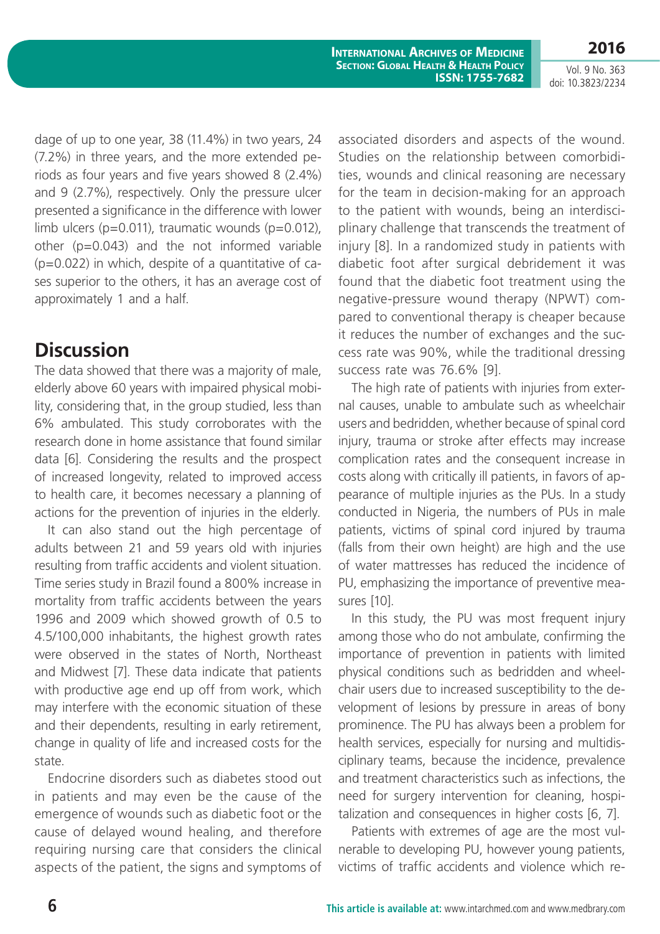Vol. 9 No. 363 doi: 10.3823/2234

**2016**

dage of up to one year, 38 (11.4%) in two years, 24 (7.2%) in three years, and the more extended periods as four years and five years showed 8 (2.4%) and 9 (2.7%), respectively. Only the pressure ulcer presented a significance in the difference with lower limb ulcers ( $p=0.011$ ), traumatic wounds ( $p=0.012$ ), other  $(p=0.043)$  and the not informed variable  $(p=0.022)$  in which, despite of a quantitative of cases superior to the others, it has an average cost of approximately 1 and a half.

## **Discussion**

The data showed that there was a majority of male, elderly above 60 years with impaired physical mobility, considering that, in the group studied, less than 6% ambulated. This study corroborates with the research done in home assistance that found similar data [6]. Considering the results and the prospect of increased longevity, related to improved access to health care, it becomes necessary a planning of actions for the prevention of injuries in the elderly.

It can also stand out the high percentage of adults between 21 and 59 years old with injuries resulting from traffic accidents and violent situation. Time series study in Brazil found a 800% increase in mortality from traffic accidents between the years 1996 and 2009 which showed growth of 0.5 to 4.5/100,000 inhabitants, the highest growth rates were observed in the states of North, Northeast and Midwest [7]. These data indicate that patients with productive age end up off from work, which may interfere with the economic situation of these and their dependents, resulting in early retirement, change in quality of life and increased costs for the state.

Endocrine disorders such as diabetes stood out in patients and may even be the cause of the emergence of wounds such as diabetic foot or the cause of delayed wound healing, and therefore requiring nursing care that considers the clinical aspects of the patient, the signs and symptoms of associated disorders and aspects of the wound. Studies on the relationship between comorbidities, wounds and clinical reasoning are necessary for the team in decision-making for an approach to the patient with wounds, being an interdisciplinary challenge that transcends the treatment of injury [8]. In a randomized study in patients with diabetic foot after surgical debridement it was found that the diabetic foot treatment using the negative-pressure wound therapy (NPWT) compared to conventional therapy is cheaper because it reduces the number of exchanges and the success rate was 90%, while the traditional dressing success rate was 76.6% [9].

The high rate of patients with injuries from external causes, unable to ambulate such as wheelchair users and bedridden, whether because of spinal cord injury, trauma or stroke after effects may increase complication rates and the consequent increase in costs along with critically ill patients, in favors of appearance of multiple injuries as the PUs. In a study conducted in Nigeria, the numbers of PUs in male patients, victims of spinal cord injured by trauma (falls from their own height) are high and the use of water mattresses has reduced the incidence of PU, emphasizing the importance of preventive measures [10].

In this study, the PU was most frequent injury among those who do not ambulate, confirming the importance of prevention in patients with limited physical conditions such as bedridden and wheelchair users due to increased susceptibility to the development of lesions by pressure in areas of bony prominence. The PU has always been a problem for health services, especially for nursing and multidisciplinary teams, because the incidence, prevalence and treatment characteristics such as infections, the need for surgery intervention for cleaning, hospitalization and consequences in higher costs [6, 7].

Patients with extremes of age are the most vulnerable to developing PU, however young patients, victims of traffic accidents and violence which re-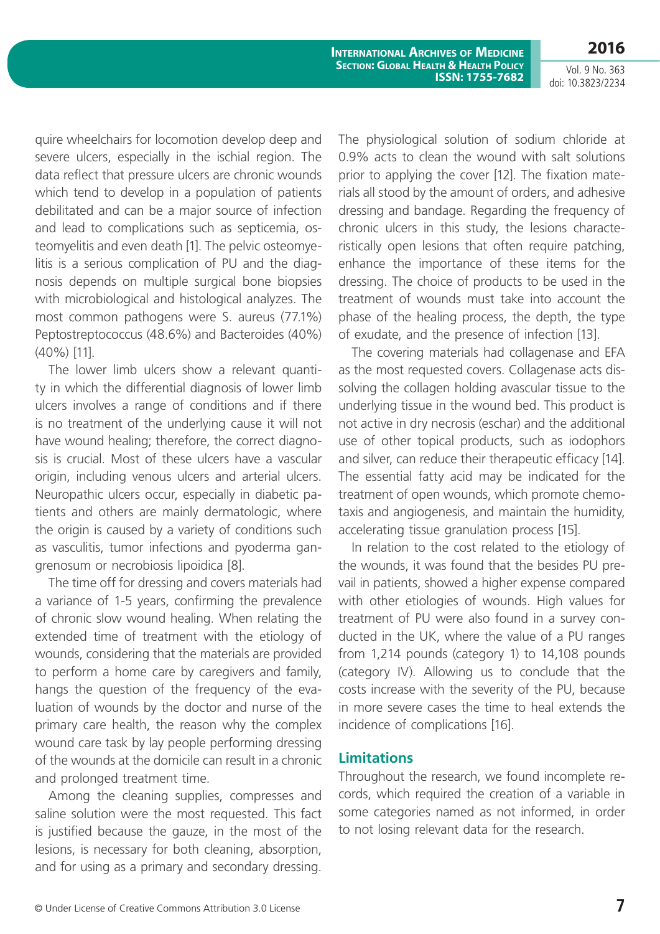Vol. 9 No. 363

**2016**

**International Archives of Medicine Section: Global Health & Health Policy ISSN: 1755-7682**

doi: 10.3823/2234

quire wheelchairs for locomotion develop deep and severe ulcers, especially in the ischial region. The data reflect that pressure ulcers are chronic wounds which tend to develop in a population of patients debilitated and can be a major source of infection and lead to complications such as septicemia, osteomyelitis and even death [1]. The pelvic osteomyelitis is a serious complication of PU and the diagnosis depends on multiple surgical bone biopsies with microbiological and histological analyzes. The most common pathogens were S. aureus (77.1%) Peptostreptococcus (48.6%) and Bacteroides (40%) (40%) [11].

The lower limb ulcers show a relevant quantity in which the differential diagnosis of lower limb ulcers involves a range of conditions and if there is no treatment of the underlying cause it will not have wound healing; therefore, the correct diagnosis is crucial. Most of these ulcers have a vascular origin, including venous ulcers and arterial ulcers. Neuropathic ulcers occur, especially in diabetic patients and others are mainly dermatologic, where the origin is caused by a variety of conditions such as vasculitis, tumor infections and pyoderma gangrenosum or necrobiosis lipoidica [8].

The time off for dressing and covers materials had a variance of 1-5 years, confirming the prevalence of chronic slow wound healing. When relating the extended time of treatment with the etiology of wounds, considering that the materials are provided to perform a home care by caregivers and family, hangs the question of the frequency of the evaluation of wounds by the doctor and nurse of the primary care health, the reason why the complex wound care task by lay people performing dressing of the wounds at the domicile can result in a chronic and prolonged treatment time.

Among the cleaning supplies, compresses and saline solution were the most requested. This fact is justified because the gauze, in the most of the lesions, is necessary for both cleaning, absorption, and for using as a primary and secondary dressing.

The physiological solution of sodium chloride at 0.9% acts to clean the wound with salt solutions prior to applying the cover [12]. The fixation materials all stood by the amount of orders, and adhesive dressing and bandage. Regarding the frequency of chronic ulcers in this study, the lesions characteristically open lesions that often require patching, enhance the importance of these items for the dressing. The choice of products to be used in the treatment of wounds must take into account the phase of the healing process, the depth, the type of exudate, and the presence of infection [13].

The covering materials had collagenase and EFA as the most requested covers. Collagenase acts dissolving the collagen holding avascular tissue to the underlying tissue in the wound bed. This product is not active in dry necrosis (eschar) and the additional use of other topical products, such as iodophors and silver, can reduce their therapeutic efficacy [14]. The essential fatty acid may be indicated for the treatment of open wounds, which promote chemotaxis and angiogenesis, and maintain the humidity, accelerating tissue granulation process [15].

In relation to the cost related to the etiology of the wounds, it was found that the besides PU prevail in patients, showed a higher expense compared with other etiologies of wounds. High values for treatment of PU were also found in a survey conducted in the UK, where the value of a PU ranges from 1,214 pounds (category 1) to 14,108 pounds (category IV). Allowing us to conclude that the costs increase with the severity of the PU, because in more severe cases the time to heal extends the incidence of complications [16].

#### **Limitations**

Throughout the research, we found incomplete records, which required the creation of a variable in some categories named as not informed, in order to not losing relevant data for the research.